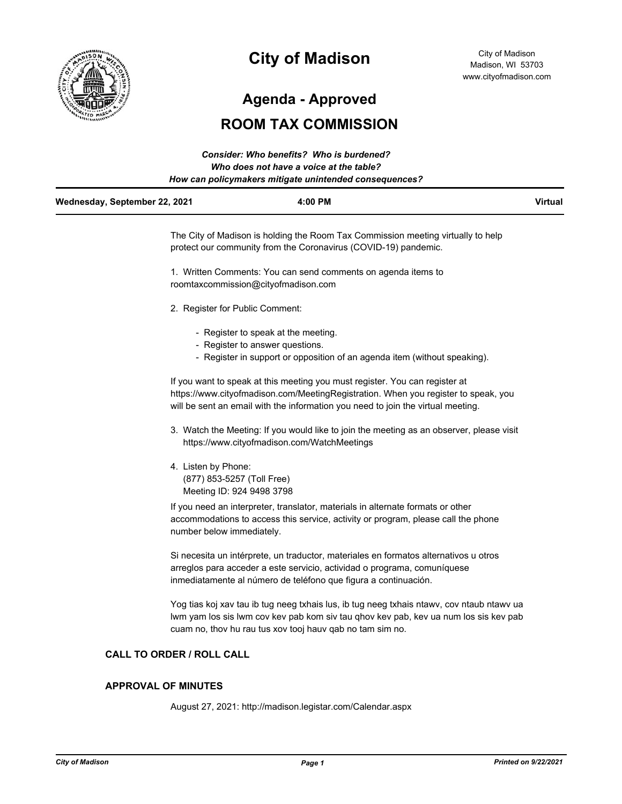

# **City of Madison**

**Agenda - Approved**

# **ROOM TAX COMMISSION**

|                               | Consider: Who benefits? Who is burdened?               |                |
|-------------------------------|--------------------------------------------------------|----------------|
|                               | Who does not have a voice at the table?                |                |
|                               | How can policymakers mitigate unintended consequences? |                |
| Wednesday, September 22, 2021 | 4:00 PM                                                | <b>Virtual</b> |

The City of Madison is holding the Room Tax Commission meeting virtually to help protect our community from the Coronavirus (COVID-19) pandemic.

1. Written Comments: You can send comments on agenda items to roomtaxcommission@cityofmadison.com

- 2. Register for Public Comment:
	- Register to speak at the meeting.
	- Register to answer questions.
	- Register in support or opposition of an agenda item (without speaking).

If you want to speak at this meeting you must register. You can register at https://www.cityofmadison.com/MeetingRegistration. When you register to speak, you will be sent an email with the information you need to join the virtual meeting.

- 3. Watch the Meeting: If you would like to join the meeting as an observer, please visit https://www.cityofmadison.com/WatchMeetings
- 4. Listen by Phone: (877) 853-5257 (Toll Free) Meeting ID: 924 9498 3798

If you need an interpreter, translator, materials in alternate formats or other accommodations to access this service, activity or program, please call the phone number below immediately.

Si necesita un intérprete, un traductor, materiales en formatos alternativos u otros arreglos para acceder a este servicio, actividad o programa, comuníquese inmediatamente al número de teléfono que figura a continuación.

Yog tias koj xav tau ib tug neeg txhais lus, ib tug neeg txhais ntawv, cov ntaub ntawv ua lwm yam los sis lwm cov kev pab kom siv tau qhov kev pab, kev ua num los sis kev pab cuam no, thov hu rau tus xov tooj hauv qab no tam sim no.

#### **CALL TO ORDER / ROLL CALL**

#### **APPROVAL OF MINUTES**

August 27, 2021: http://madison.legistar.com/Calendar.aspx